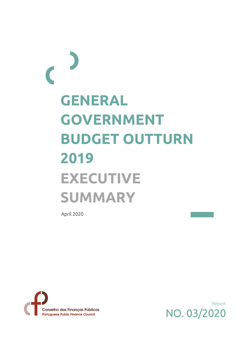## **GENERAL GOVERNMENT BUDGET OUTTURN 2019 EXECUTIVE SUMMARY**

April 2020 **April 2020** 



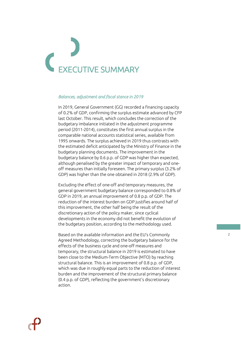# EXECUTIVE SUMMARY

### *Balances, adjustment and fiscal stance in 2019*

In 2019, General Government (GG) recorded a financing capacity of 0.2% of GDP, confirming the surplus estimate advanced by CFP last October. This result, which concludes the correction of the budgetary imbalance initiated in the adjustment programme period (2011-2014), constitutes the first annual surplus in the comparable national accounts statistical series, available from 1995 onwards. The surplus achieved in 2019 thus contrasts with the estimated deficit anticipated by the Ministry of Finance in the budgetary planning documents. The improvement in the budgetary balance by 0.6 p.p. of GDP was higher than expected, although penalised by the greater impact of temporary and oneoff measures than initially foreseen. The primary surplus (3.2% of GDP) was higher than the one obtained in 2018 (2.9% of GDP).

Excluding the effect of one-off and temporary measures, the general government budgetary balance corresponded to 0.8% of GDP in 2019, an annual improvement of 0.8 p.p. of GDP. The reduction of the interest burden on GDP justifies around half of this improvement, the other half being the result of the discretionary action of the policy maker, since cyclical developments in the economy did not benefit the evolution of the budgetary position, according to the methodology used.

Based on the available information and the EU's Commonly Agreed Methodology, correcting the budgetary balance for the effects of the business cycle and one-off measures and temporary, the structural balance in 2019 is estimated to have been close to the Medium-Term Objective (MTO) by reaching structural balance. This is an improvement of 0.8 p.p. of GDP, which was due in roughly equal parts to the reduction of interest burden and the improvement of the structural primary balance (0.4 p.p. of GDP), reflecting the government's discretionary action.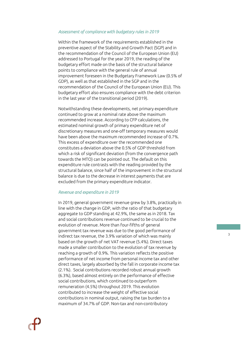### *Assessment of compliance with budgetary rules in 2019*

Within the framework of the requirements established in the preventive aspect of the Stability and Growth Pact (SGP) and in the recommendation of the Council of the European Union (EU) addressed to Portugal for the year 2019, the reading of the budgetary effort made on the basis of the structural balance points to compliance with the general rule of annual improvement foreseen in the Budgetary Framework Law (0.5% of GDP), as well as that established in the SGP and in the recommendation of the Council of the European Union (EU). This budgetary effort also ensures compliance with the debt criterion in the last year of the transitional period (2019).

Notwithstanding these developments, net primary expenditure continued to grow at a nominal rate above the maximum recommended increase. According to CFP calculations, the estimated nominal growth of primary expenditure net of discretionary measures and one-off temporary measures would have been above the maximum recommended increase of 0.7%. This excess of expenditure over the recommended one constitutes a deviation above the 0.5% of GDP threshold from which a risk of significant deviation (from the convergence path towards the MTO) can be pointed out. The default on this expenditure rule contrasts with the reading provided by the structural balance, since half of the improvement in the structural balance is due to the decrease in interest payments that are excluded from the primary expenditure indicator.

### *Revenue and expenditure in 2019*

In 2019, general government revenue grew by 3.8%, practically in line with the change in GDP, with the ratio of that budgetary aggregate to GDP standing at 42.9%, the same as in 2018. Tax and social contributions revenue continued to be crucial to the evolution of revenue. More than four-fifths of general government tax revenue was due to the good performance of indirect tax revenue, the 3.9% variation of which was mainly based on the growth of net VAT revenue (5.4%). Direct taxes made a smaller contribution to the evolution of tax revenue by reaching a growth of 0.9%. This variation reflects the positive performance of net income from personal income tax and other direct taxes, largely absorbed by the fall in corporate income tax (2.1%). Social contributions recorded robust annual growth (6.3%), based almost entirely on the performance of effective social contributions, which continued to outperform remuneration (4.5%) throughout 2019. This evolution contributed to increase the weight of effective social contributions in nominal output, raising the tax burden to a maximum of 34.7% of GDP. Non-tax and non-contributory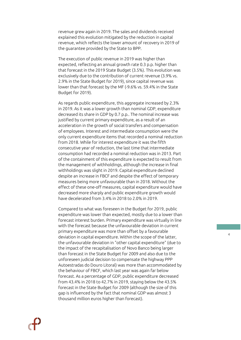revenue grew again in 2019. The sales and dividends received explained this evolution mitigated by the reduction in capital revenue, which reflects the lower amount of recovery in 2019 of the guarantee provided by the State to BPP.

The execution of public revenue in 2019 was higher than expected, reflecting an annual growth rate 0.3 p.p. higher than that forecast in the 2019 State Budget (3.5%). This evolution was exclusively due to the contribution of current revenue (3.9% vs. 2.9% in the State Budget for 2019), since capital revenue was lower than that forecast by the MF (-9.6% vs. 59.4% in the State Budget for 2019).

As regards public expenditure, this aggregate increased by 2.3% in 2019. As it was a lower growth than nominal GDP, expenditure decreased its share in GDP by 0.7 p.p.. The nominal increase was justified by current primary expenditure, as a result of an acceleration in the growth of social transfers and compensation of employees. Interest and intermediate consumption were the only current expenditure items that recorded a nominal reduction from 2018. While for interest expenditure it was the fifth consecutive year of reduction, the last time that intermediate consumption had recorded a nominal reduction was in 2013. Part of the containment of this expenditure is expected to result from the management of withholdings, although the increase in final withholdings was slight in 2019. Capital expenditure declined despite an increase in FBCF and despite the effect of temporary measures being more unfavourable than in 2018. Without the effect of these one-off measures, capital expenditure would have decreased more sharply and public expenditure growth would have decelerated from 3.4% in 2018 to 2.0% in 2019.

Compared to what was foreseen in the Budget for 2019, public expenditure was lower than expected, mostly due to a lower than forecast interest burden. Primary expenditure was virtually in line with the forecast because the unfavourable deviation in current primary expenditure was more than offset by a favourable deviation in capital expenditure. Within the scope of the latter, the unfavourable deviation in "other capital expenditure" (due to the impact of the recapitalisation of Novo Banco being larger than forecast in the State Budget for 2009 and also due to the unforeseen judicial decision to compensate the highway PPP Autoestradas do Douro Litoral) was more than accommodated by the behaviour of FBCF, which last year was again far below forecast. As a percentage of GDP, public expenditure decreased from 43.4% in 2018 to 42.7% in 2019, staying below the 43.5% forecast in the State Budget for 2009 (although the size of this gap is influenced by the fact that nominal GDP was almost 3 thousand million euros higher than forecast).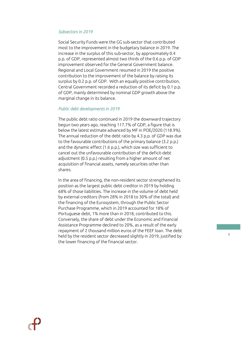## *Subsectors in 2019*

Social Security Funds were the GG sub-sector that contributed most to the improvement in the budgetary balance in 2019. The increase in the surplus of this sub-sector, by approximately 0.4 p.p. of GDP, represented almost two thirds of the 0.6 p.p. of GDP improvement observed for the General Government balance. Regional and Local Government resumed in 2019 the positive contribution to the improvement of the balance by raising its surplus by 0.2 p.p. of GDP. With an equally positive contribution, Central Government recorded a reduction of its deficit by 0.1 p.p. of GDP, mainly determined by nominal GDP growth above the marginal change in its balance.

### *Public debt developments in 2019*

The public debt ratio continued in 2019 the downward trajectory begun two years ago, reaching 117.7% of GDP, a figure that is below the latest estimate advanced by MF in POE/2020 (118.9%). The annual reduction of the debt ratio by 4.3 p.p. of GDP was due to the favourable contributions of the primary balance (3.2 p.p.) and the dynamic effect (1.6 p.p.), which size was sufficient to cancel out the unfavourable contribution of the deficit-debt adjustment (0.5 p.p.) resulting from a higher amount of net acquisition of financial assets, namely securities other than shares.

In the area of financing, the non-resident sector strengthened its position as the largest public debt creditor in 2019 by holding 68% of those liabilities. The increase in the volume of debt held by external creditors (from 28% in 2018 to 30% of the total) and the financing of the Eurosystem, through the Public Sector Purchase Programme, which in 2019 accounted for 18% of Portuguese debt, 1% more than in 2018, contributed to this. Conversely, the share of debt under the Economic and Financial Assistance Programme declined to 20%, as a result of the early repayment of 2 thousand million euros of the FEEF loan. The debt held by the resident sector decreased slightly in 2019, justified by the lower financing of the financial sector.